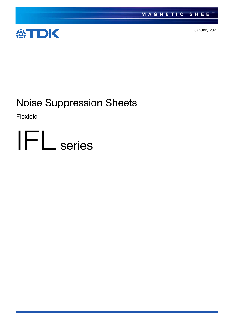

January 2021

# Noise Suppression Sheets

Flexield

IFL series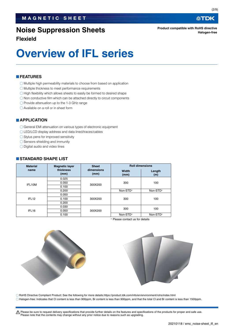### **Noise Suppression Sheets**

**Product compatible with RoHS directive Halogen-free**

**Flexield**

# **Overview of IFL series**

#### **FEATURES**

- Multiple high permeability materials to choose from based on application
- Multiple thickness to meet performance requirements
- $\bigcirc$  High flexibility which allows sheets to easily be formed to desired shape
- $\bigcirc$  Non conductive film which can be attached directly to circuit components
- $\bigcirc$  Provide attenuation up to the 1-3 GHz range
- Available on a roll or in sheet form

#### **APPLICATION**

- General EMI attenuation on various types of electronic equipment
- LED/LCD display address and data lined/traces/cables
- $\bigcirc$  Stylus pens for improved sensitivity
- ◯ Sensors shielding and immunity
- O Digital audio and video lines

#### **STANDARD SHAPE LIST**

| <b>Material</b>   | <b>Magnetic layer</b> | <b>Sheet</b>       | <b>Roll dimensions</b> |               |  |
|-------------------|-----------------------|--------------------|------------------------|---------------|--|
| name              | thickness<br>(mm)     | dimensions<br>(mm) | <b>Width</b><br>(mm)   | Length<br>(m) |  |
| IFL10M            | 0.025                 |                    |                        | 100           |  |
|                   | 0.050                 | 300X200            | 300                    |               |  |
|                   | 0.100                 |                    |                        |               |  |
|                   | 0.200                 |                    | Non-STD*               | Non-STD*      |  |
| IFL <sub>12</sub> | 0.050                 |                    |                        |               |  |
|                   | 0.100                 | 300X200            | 300                    | 100           |  |
|                   | 0.200                 |                    |                        |               |  |
| IFL <sub>16</sub> | 0.030                 |                    | 300                    | 100           |  |
|                   | 0.050                 | 300X200            |                        |               |  |
|                   | 0.100                 |                    | Non-STD*               | Non-STD*      |  |

Please contact us for details





RoHS Directive Compliant Product: See the following for more details.https://product.tdk.com/info/en/environment/rohs/index.html Halogen-free: Indicates that Cl content is less than 900ppm, Br content is less than 900ppm, and that the total Cl and Br content is less than 1500ppm.

t Please be sure to request delivery specifications that provide further details on the features and specifications of the products for proper and safe use.

公TDK

Please note that the contents may change without any prior notice due to reasons such as upgrading.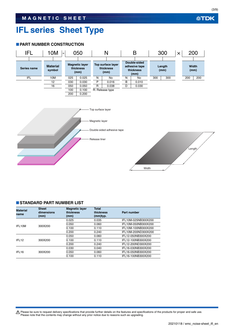# **IFL series Sheet Type**

#### **PART NUMBER CONSTRUCTION**



#### **STANDARD PART NUMBER LIST**

| <b>Material</b><br>name | <b>Sheet</b><br>dimensions<br>(mm) | <b>Magnetic layer</b><br>thickness<br>(mm) | <b>Total</b><br>thickness<br>(mm)typ. | Part number         |
|-------------------------|------------------------------------|--------------------------------------------|---------------------------------------|---------------------|
| IFI 10M                 |                                    | 0.025                                      | 0.035                                 | IFL10M-025NB300X200 |
|                         | 300X200                            | 0.050                                      | 0.060                                 | IFL10M-050NB300X200 |
|                         |                                    | 0.100                                      | 0.110                                 | IFL10M-100NB300X200 |
|                         |                                    | 0.200                                      | 0.240                                 | IFL10M-200ND300X200 |
| IFL <sub>12</sub>       |                                    | 0.050                                      | 0.060                                 | IFL12-050NB300X200  |
|                         | 300X200                            | 0.100                                      | 0.110                                 | IFL12-100NB300X200  |
|                         |                                    | 0.200                                      | 0.240                                 | IFL12-200ND300X200  |
| IFL <sub>16</sub>       |                                    | 0.030                                      | 0.040                                 | IFL16-030NB300X200  |
|                         | 300X200                            | 0.050                                      | 0.060                                 | IFL16-050NB300X200  |
|                         |                                    | 0.100                                      | 0.110                                 | IFL16-100NB300X200  |

Please be sure to request delivery specifications that provide further details on the features and specifications of the products for proper and safe use.<br>Please note that the contents may change without any prior notice d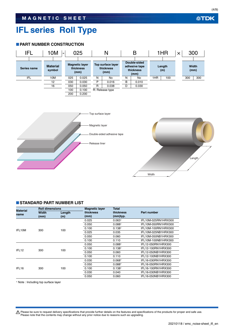# **IFL series Roll Type**

#### **PART NUMBER CONSTRUCTION**



#### **STANDARD PART NUMBER LIST**

| <b>Material</b><br>name | <b>Roll dimensions</b> |        | <b>Magnetic layer</b> | <b>Total</b> |                     |
|-------------------------|------------------------|--------|-----------------------|--------------|---------------------|
|                         | Width                  | Length | thickness             | thickness    | Part number         |
|                         | (mm)                   | (m)    | (mm)                  | (mm)typ.     |                     |
| IFL10M                  |                        |        | 0.025                 | $0.063*$     | IFL10M-025RN1HRX300 |
|                         |                        |        | 0.050                 | $0.088*$     | IFL10M-050RN1HRX300 |
|                         | 300                    | 100    | 0.100                 | $0.138*$     | IFL10M-100RN1HRX300 |
|                         |                        |        | 0.025                 | 0.035        | IFL10M-025NB1HRX300 |
|                         |                        |        | 0.050                 | 0.060        | IFL10M-050NB1HRX300 |
|                         |                        |        | 0.100                 | 0.110        | IFL10M-100NB1HRX300 |
| IFL <sub>12</sub>       |                        |        | 0.050                 | $0.088*$     | IFL12-050RN1HRX300  |
|                         | 300                    | 100    | 0.100                 | $0.138*$     | IFL12-100RN1HRX300  |
|                         |                        |        | 0.050                 | 0.060        | IFL12-050NB1HRX300  |
|                         |                        |        | 0.100                 | 0.110        | IFL12-100NB1HRX300  |
| IFL <sub>16</sub>       |                        |        | 0.030                 | $0.068*$     | IFL16-030RN1HRX300  |
|                         |                        |        | 0.050                 | $0.088*$     | IFL16-050RN1HRX300  |
|                         | 300                    | 100    | 0.100                 | $0.138*$     | IFL16-100RN1HRX300  |
|                         |                        |        | 0.030                 | 0.040        | IFL16-030NB1HRX300  |
|                         |                        |        | 0.050                 | 0.060        | IFL16-050NB1HRX300  |

Note : Including top surface layer

Please be sure to request delivery specifications that provide further details on the features and specifications of the products for proper and safe use.<br>Please note that the contents may change without any prior notice d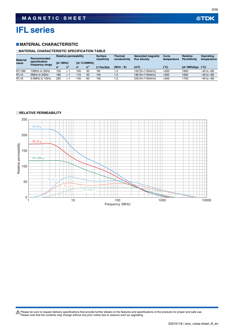# **IFL series**

#### **MATERIAL CHARACTERISTIC**

#### **MATERIAL CHARACTERISTIC SPECIFICATION TABLE**

| <b>Material</b><br>name | Recommended<br>specification<br>frequency range | <b>Relative permeability</b> |  |                      | <b>Surface</b><br>resistivity | <b>Thermal</b><br>conductivity | <b>Saturated magnetic</b><br>flux density | Curie<br>temperature | <b>Relative</b><br><b>Permittivity</b> | Operating<br>temperature |                |
|-------------------------|-------------------------------------------------|------------------------------|--|----------------------|-------------------------------|--------------------------------|-------------------------------------------|----------------------|----------------------------------------|--------------------------|----------------|
|                         |                                                 | <b>Tat 1MHz1</b>             |  | <b>Tat 13.56MHz1</b> |                               |                                |                                           |                      |                                        |                          |                |
|                         |                                                 |                              |  |                      | u'                            | $(\Omega/\text{sq.})$ typ.     | $(W/m \cdot K)$                           | (mT)                 | $(^\circ \mathbf{C})^\circ$            | (at 1MHz)typ.            | $(^{\circ}C)$  |
| IFL10M                  | 10MHz to 3GHz                                   | 120                          |  | 100                  | 30                            | 1M                             | 5.،                                       | 150 [H=1194A/m]      | >500                                   | 1600                     | $-40$ to $+85$ |
| IFL <sub>12</sub>       | 5MHz to 3GHz                                    | 180                          |  | 115                  | 40                            | 10k                            | 1.5                                       | 180 [H=1194A/m]      | >500                                   | 1600                     | $-40$ to $+85$ |
| IFL <sub>16</sub>       | 0.5MHz to 1GHz                                  | 220                          |  | 40                   | 60                            | 10k                            | . 5                                       | 230 [H=1194A/m]      | >500                                   | 1700                     | $-40$ to $+85$ |

#### **RELATIVE PERMEABILITY**



Please be sure to request delivery specifications that provide further details on the features and specifications of the products for proper and safe use.<br>Please note that the contents may change without any prior notice d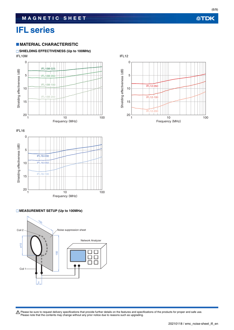# **IFL series**

#### **MATERIAL CHARACTERISTIC**

#### **SHIELDING EFFECTIVENESS (Up to 100MHz)**

IFL10M IFL12





#### **MEASUREMENT SETUP (Up to 100MHz)**





**公TDK** 

(6/9)

Please be sure to request delivery specifications that provide further details on the features and specifications of the products for proper and safe use.<br>Please note that the contents may change without any prior notice d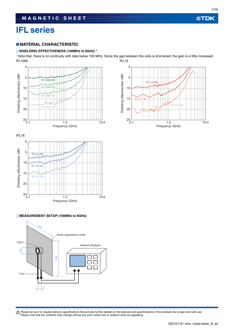# **IFL series**

#### **MATERIAL CHARACTERISTIC**

#### **SHIELDING EFFECTIVENESS (100MHz to 6GHz) \***

 Note that there is no continuity with data below 100 MHz. Since the gap between the coils is shortened, the gain is a little increased. IFL10M IFL12





#### **MEASUREMENT SETUP (100MHz to 6GHz)**



0 Shielding effectiveness (dB) Shielding effectiveness (dB) 5 IFL12-050 10 15 IFL12-100 IFL12-200 20  $25 \over 0.1$ 



Please be sure to request delivery specifications that provide further details on the features and specifications of the products for proper and safe use.<br>Please note that the contents may change without any prior notice d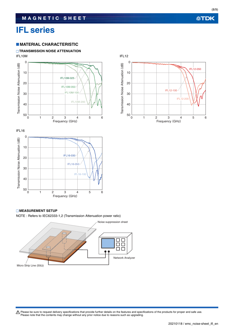## **IFL series**

#### **MATERIAL CHARACTERISTIC**

#### **TRANSMISSION NOISE ATTENUATION**







#### **MEASUREMENT SETUP**

NOTE : Refers to IEC62333-1,2 (Transmission Attenuation power ratio)



Please be sure to request delivery specifications that provide further details on the features and specifications of the products for proper and safe use.<br>Please note that the contents may change without any prior notice d